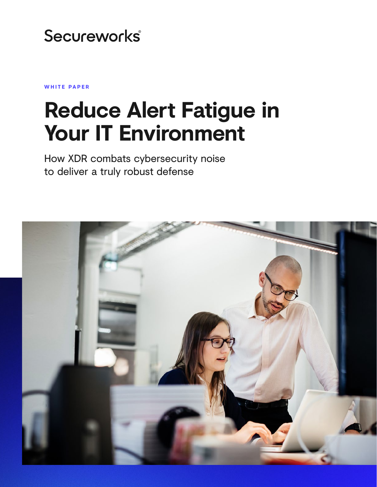# Secureworks®

**WHITE PAPER**

# **Reduce Alert Fatigue in Your IT Environment**

How XDR combats cybersecurity noise to deliver a truly robust defense

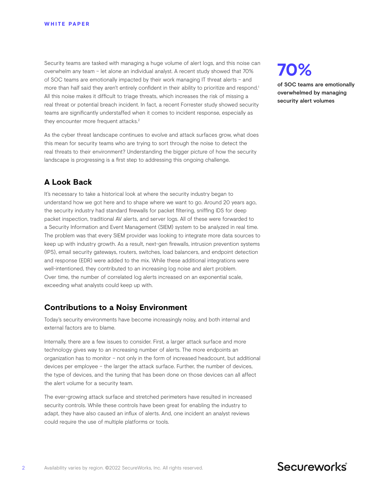Security teams are tasked with managing a huge volume of alert logs, and this noise can overwhelm any team – let alone an individual analyst. A recent study showed that 70% of SOC teams are emotionally impacted by their work managing IT threat alerts – and more than half said they aren't entirely confident in their ability to prioritize and respond.<sup>1</sup> All this noise makes it difficult to triage threats, which increases the risk of missing a real threat or potential breach incident. In fact, a recent Forrester study showed security teams are significantly understaffed when it comes to incident response, especially as they encounter more frequent attacks.<sup>2</sup>

As the cyber threat landscape continues to evolve and attack surfaces grow, what does this mean for security teams who are trying to sort through the noise to detect the real threats to their environment? Understanding the bigger picture of how the security landscape is progressing is a first step to addressing this ongoing challenge.

## **A Look Back**

It's necessary to take a historical look at where the security industry began to understand how we got here and to shape where we want to go. Around 20 years ago, the security industry had standard firewalls for packet filtering, sniffing IDS for deep packet inspection, traditional AV alerts, and server logs. All of these were forwarded to a Security Information and Event Management (SIEM) system to be analyzed in real time. The problem was that every SIEM provider was looking to integrate more data sources to keep up with industry growth. As a result, next-gen firewalls, intrusion prevention systems (IPS), email security gateways, routers, switches, load balancers, and endpoint detection and response (EDR) were added to the mix. While these additional integrations were well-intentioned, they contributed to an increasing log noise and alert problem. Over time, the number of correlated log alerts increased on an exponential scale, exceeding what analysts could keep up with.

### **Contributions to a Noisy Environment**

Today's security environments have become increasingly noisy, and both internal and external factors are to blame.

Internally, there are a few issues to consider. First, a larger attack surface and more technology gives way to an increasing number of alerts. The more endpoints an organization has to monitor – not only in the form of increased headcount, but additional devices per employee – the larger the attack surface. Further, the number of devices, the type of devices, and the tuning that has been done on those devices can all affect the alert volume for a security team.

The ever-growing attack surface and stretched perimeters have resulted in increased security controls. While these controls have been great for enabling the industry to adapt, they have also caused an influx of alerts. And, one incident an analyst reviews could require the use of multiple platforms or tools.

# **70%**

of SOC teams are emotionally overwhelmed by managing security alert volumes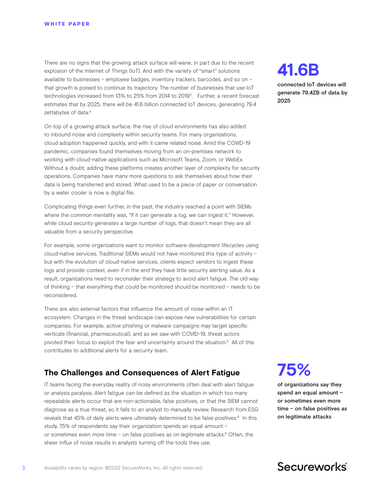There are no signs that the growing attack surface will wane, in part due to the recent explosion of the Internet of Things (IoT). And with the variety of "smart" solutions available to businesses – employee badges, inventory trackers, barcodes, and so on – that growth is poised to continue its trajectory. The number of businesses that use IoT technologies increased from 13% to 25% from 2014 to 20193. Further, a recent forecast estimates that by 2025, there will be 41.6 billion connected IoT devices, generating 79.4 zettabytes of data.<sup>4</sup>

On top of a growing attack surface, the rise of cloud environments has also added to inbound noise and complexity within security teams. For many organizations, cloud adoption happened quickly, and with it came related noise. Amid the COVID-19 pandemic, companies found themselves moving from an on-premises network to working with cloud-native applications such as Microsoft Teams, Zoom, or WebEx. Without a doubt, adding these platforms creates another layer of complexity for security operations. Companies have many more questions to ask themselves about how their data is being transferred and stored. What used to be a piece of paper or conversation by a water cooler is now a digital file.

Complicating things even further, in the past, the industry reached a point with SIEMs where the common mentality was, "If it can generate a log, we can ingest it." However, while cloud security generates a large number of logs, that doesn't mean they are all valuable from a security perspective.

For example, some organizations want to monitor software development lifecycles using cloud-native services. Traditional SIEMs would not have monitored this type of activity – but with the evolution of cloud-native services, clients expect vendors to ingest these logs and provide context, even if in the end they have little security alerting value. As a result, organizations need to reconsider their strategy to avoid alert fatigue. The old way of thinking – that everything that could be monitored should be monitored – needs to be reconsidered.

There are also external factors that influence the amount of noise within an IT ecosystem. Changes in the threat landscape can expose new vulnerabilities for certain companies. For example, active phishing or malware campaigns may target specific verticals (financial, pharmaceutical), and as we saw with COVID-19, threat actors pivoted their focus to exploit the fear and uncertainty around the situation.5 All of this contributes to additional alerts for a security team.

# **The Challenges and Consequences of Alert Fatigue**

IT teams facing the everyday reality of noisy environments often deal with alert fatigue or analysis paralysis. Alert fatigue can be defined as the situation in which too many repeatable alerts occur that are non-actionable, false positives, or that the SIEM cannot diagnose as a true threat, so it falls to an analyst to manually review. Research from ESG reveals that 45% of daily alerts were ultimately determined to be false positives.<sup>6</sup> In this study, 75% of respondents say their organization spends an equal amount – or sometimes even more time - on false positives as on legitimate attacks.<sup>6</sup> Often, the sheer influx of noise results in analysts turning off the tools they use.

**41.6B**

connected IoT devices will generate 79.4ZB of data by 2025

# **75%**

of organizations say they spend an equal amount – or sometimes even more time – on false positives as on legitimate attacks

# Secureworks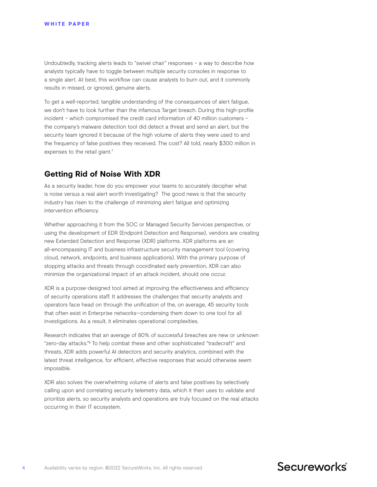Undoubtedly, tracking alerts leads to "swivel chair" responses – a way to describe how analysts typically have to toggle between multiple security consoles in response to a single alert. At best, this workflow can cause analysts to burn out, and it commonly results in missed, or ignored, genuine alerts.

To get a well-reported, tangible understanding of the consequences of alert fatigue, we don't have to look further than the infamous Target breach. During this high-profile incident – which compromised the credit card information of 40 million customers – the company's malware detection tool did detect a threat and send an alert, but the security team ignored it because of the high volume of alerts they were used to and the frequency of false positives they received. The cost? All told, nearly \$300 million in expenses to the retail giant.<sup>7</sup>

## **Getting Rid of Noise With XDR**

As a security leader, how do you empower your teams to accurately decipher what is noise versus a real alert worth investigating? The good news is that the security industry has risen to the challenge of minimizing alert fatigue and optimizing intervention efficiency.

Whether approaching it from the SOC or Managed Security Services perspective, or using the development of EDR (Endpoint Detection and Response), vendors are creating new Extended Detection and Response (XDR) platforms. XDR platforms are an all-encompassing IT and business infrastructure security management tool (covering cloud, network, endpoints, and business applications). With the primary purpose of stopping attacks and threats through coordinated early prevention, XDR can also minimize the organizational impact of an attack incident, should one occur.

XDR is a purpose-designed tool aimed at improving the effectiveness and efficiency of security operations staff. It addresses the challenges that security analysts and operators face head on through the unification of the, on average, 45 security tools that often exist in Enterprise networks—condensing them down to one tool for all investigations. As a result, it eliminates operational complexities.

Research indicates that an average of 80% of successful breaches are new or unknown "zero-day attacks."8 To help combat these and other sophisticated "tradecraft" and threats, XDR adds powerful AI detectors and security analytics, combined with the latest threat intelligence, for efficient, effective responses that would otherwise seem impossible.

XDR also solves the overwhelming volume of alerts and false positives by selectively calling upon and correlating security telemetry data, which it then uses to validate and prioritize alerts, so security analysts and operations are truly focused on the real attacks occurring in their IT ecosystem.

# Secureworks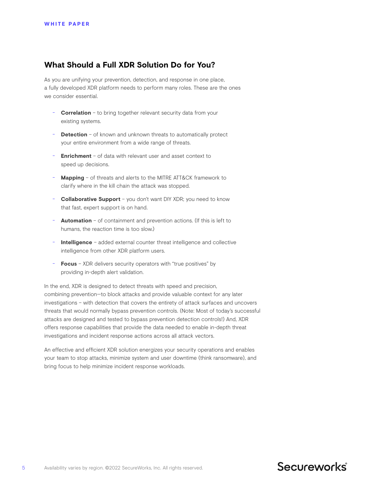## **What Should a Full XDR Solution Do for You?**

As you are unifying your prevention, detection, and response in one place, a fully developed XDR platform needs to perform many roles. These are the ones we consider essential.

- **Correlation** to bring together relevant security data from your existing systems.
- **Detection** of known and unknown threats to automatically protect your entire environment from a wide range of threats.
- **Enrichment** of data with relevant user and asset context to speed up decisions.
- Mapping of threats and alerts to the MITRE ATT&CK framework to clarify where in the kill chain the attack was stopped.
- **Collaborative Support** you don't want DIY XDR; you need to know that fast, expert support is on hand.
- **Automation** of containment and prevention actions. (If this is left to humans, the reaction time is too slow.)
- **Intelligence** added external counter threat intelligence and collective intelligence from other XDR platform users.
- Focus XDR delivers security operators with "true positives" by providing in-depth alert validation.

In the end, XDR is designed to detect threats with speed and precision, combining prevention—to block attacks and provide valuable context for any later investigations – with detection that covers the entirety of attack surfaces and uncovers threats that would normally bypass prevention controls. (Note: Most of today's successful attacks are designed and tested to bypass prevention detection controls!) And, XDR offers response capabilities that provide the data needed to enable in-depth threat investigations and incident response actions across all attack vectors.

An effective and efficient XDR solution energizes your security operations and enables your team to stop attacks, minimize system and user downtime (think ransomware), and bring focus to help minimize incident response workloads.

# Secureworks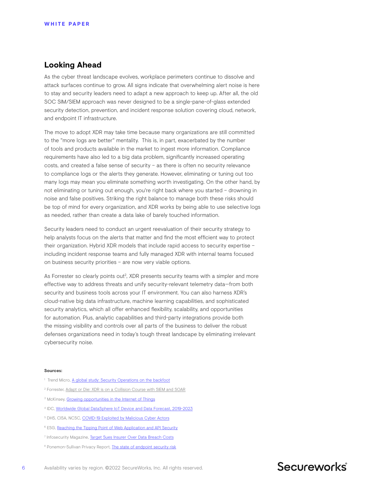### **Looking Ahead**

As the cyber threat landscape evolves, workplace perimeters continue to dissolve and attack surfaces continue to grow. All signs indicate that overwhelming alert noise is here to stay and security leaders need to adapt a new approach to keep up. After all, the old SOC SIM/SIEM approach was never designed to be a single-pane-of-glass extended security detection, prevention, and incident response solution covering cloud, network, and endpoint IT infrastructure.

The move to adopt XDR may take time because many organizations are still committed to the "more logs are better" mentality. This is, in part, exacerbated by the number of tools and products available in the market to ingest more information. Compliance requirements have also led to a big data problem, significantly increased operating costs, and created a false sense of security – as there is often no security relevance to compliance logs or the alerts they generate. However, eliminating or tuning out too many logs may mean you eliminate something worth investigating. On the other hand, by not eliminating or tuning out enough, you're right back where you started – drowning in noise and false positives. Striking the right balance to manage both these risks should be top of mind for every organization, and XDR works by being able to use selective logs as needed, rather than create a data lake of barely touched information.

Security leaders need to conduct an urgent reevaluation of their security strategy to help analysts focus on the alerts that matter and find the most efficient way to protect their organization. Hybrid XDR models that include rapid access to security expertise – including incident response teams and fully managed XDR with internal teams focused on business security priorities – are now very viable options.

As Forrester so clearly points out<sup>2</sup>, XDR presents security teams with a simpler and more effective way to address threats and unify security-relevant telemetry data—from both security and business tools across your IT environment. You can also harness XDR's cloud-native big data infrastructure, machine learning capabilities, and sophisticated security analytics, which all offer enhanced flexibility, scalability, and opportunities for automation. Plus, analytic capabilities and third-party integrations provide both the missing visibility and controls over all parts of the business to deliver the robust defenses organizations need in today's tough threat landscape by eliminating irrelevant cybersecurity noise.

#### **Sources:**

- <sup>1</sup> Trend Micro, [A global study: Security Operations on the backfoot](https://www.trendmicro.com/explore/en_gb_soc-research)
- <sup>2</sup> Forrester, Adapt or Die: XDR is on a Collision Course with SIEM and SOAR
- <sup>3</sup> McKinsey, [Growing opportunities in the Internet of Things](https://www.mckinsey.com/industries/private-equity-and-principal-investors/our-insights/growing-opportunities-in-the-internet-of-things)
- 4 IDC, [Worldwide Global DataSphere IoT Device and Data Forecast, 2019-2023](https://www.idc.com/getdoc.jsp?containerId=prUS45213219#:~:text=A%20new%20forecast%20from%20International,these%20devices%20will%20also%20grow.)
- <sup>5</sup> DHS, CISA, NCSC, [COVID-19 Exploited by Malicious Cyber Actors](https://us-cert.cisa.gov/ncas/alerts/aa20-099a)
- <sup>6</sup> ESG, Reaching the Tipping Point of Web Application and API Security
- <sup>7</sup> Infosecurity Magazine, [Target Sues Insurer Over Data Breach Costs](https://www.infosecurity-magazine.com/news/target-sues-insurer-over-data/)
- <sup>8</sup> Ponemon-Sullivan Privacy Report, *[The state of endpoint security risk](https://ponemonsullivanreport.com/2020/05/the-state-of-endpoint-security-risk-its-skyrocketing/)*